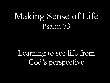# Making Sense of Life Psalm 73

Learning to see life from God's perspective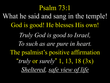Psalm 73:1 What he said and sang in the temple! God is good! He blesses His own! *Truly God is good to Israel, To such as are pure in heart.* The psalmist's positive affirmation "*truly* or *surely*" 1, 13, 18 (3x) *Sheltered, safe view of life*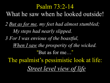Psalm 73:2-14 What he saw when he looked outside! *2 But as for me, my feet had almost stumbled; My steps had nearly slipped. 3 For I was envious of the boastful, When I saw the prosperity of the wicked.*  "But as for me…" The psalmist's pessimistic look at life: *Street level view of life*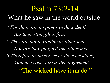# Psalm 73:2-14

- What he saw in the world outside!
- *4 For there are no pangs in their death, But their strength is firm.*
- *5 They are not in trouble as other men, Nor are they plagued like other men. 6 Therefore pride serves as their necklace; Violence covers them like a garment.* "The wicked have it made!"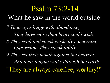## Psalm 73:2-14

#### What he saw in the world outside!

*7 Their eyes bulge with abundance;* 

 *They have more than heart could wish.* 

- *8 They scoff and speak wickedly concerning oppression; They speak loftily.*
- *9 They set their mouth against the heavens,*

 *And their tongue walks through the earth.*

"They are always carefree, wealthy!"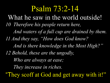Psalm 73:2-14

*10 Therefore his people return here, And waters of a full cup are drained by them. 11 And they say, "How does God know? And is there knowledge in the Most High?" 12 Behold, these are the ungodly, Who are always at ease; They increase in riches.* "They scoff at God and get away with it!" What he saw in the world outside!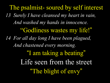The psalmist- soured by self interest *13 Surely I have cleansed my heart in vain, And washed my hands in innocence.* "Godliness wastes my life!" *14 For all day long I have been plagued, And chastened every morning.* "I am taking a beating" Life seen from the street "The blight of envy"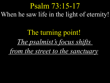### Psalm 73:15-17 When he saw life in the light of eternity!

The turning point! *The psalmist's focus shifts from the street to the sanctuary*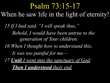### Psalm 73:15-17 When he saw life in the light of eternity!

*15 If I had said, "I will speak thus," Behold, I would have been untrue to the generation of Your children. 16 When I thought how to understand this, It was too painful for me— 17 Until I went into the sanctuary of God;* 

 *Then I understood their end.*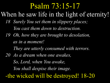### Psalm 73:15-17

#### When he saw life in the light of eternity!

- *18 Surely You set them in slippery places; You cast them down to destruction.*
- *19 Oh, how they are brought to desolation, as in a moment!*

 *They are utterly consumed with terrors.* 

*20 As a dream when one awakes, So, Lord, when You awake, You shall despise their image.* -the wicked will be destroyed! 18-20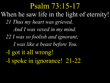*21 Thus my heart was grieved, And I was vexed in my mind. 22 I was so foolish and ignorant; I was like a beast before You.*  -I got it all wrong! -I spoke in ignorance! 21-22 Psalm 73:15-17 When he saw life in the light of eternity!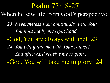*23 Nevertheless I am continually with You; You hold me by my right hand.* -God, You are always with me! 23 *24 You will guide me with Your counsel, And afterward receive me to glory.*  -God, You will take me to glory! 24 Psalm 73:18-27 When he saw life from God's perspective!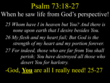#### Psalm 73:18-27

When he saw life from God's perspective!

*25 Whom have I in heaven but You? And there is none upon earth that I desire besides You. 26 My flesh and my heart fail; But God is the strength of my heart and my portion forever. 27 For indeed, those who are far from You shall perish; You have destroyed all those who desert You for harlotry.* 

-God, **You** are all I really need! 25-27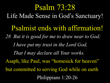Psalmist ends with affirmation! *28 But it is good for me to draw near to God; I have put my trust in the Lord God, That I may declare all Your works.* Asaph, like Paul, was "homesick for heaven" but committed to serving God while on earth Philippians 1:20-26 Psalm 73:28 Life Made Sense in God's Sanctuary!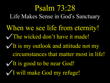When we see life from eternity! The wicked don't have it made! VIt is my outlook and attitude not my circumstances that matter most in life! VIt is good to be near God! I will make God my refuge! Psalm 73:28 Life Makes Sense in God's Sanctuary